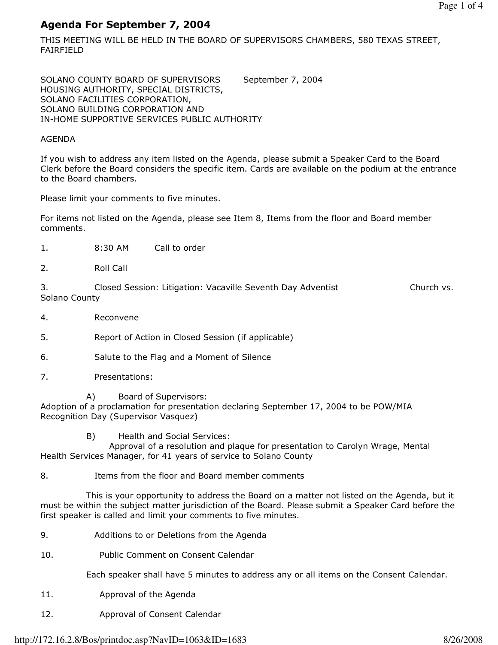# Agenda For September 7, 2004

THIS MEETING WILL BE HELD IN THE BOARD OF SUPERVISORS CHAMBERS, 580 TEXAS STREET, FAIRFIELD

SOLANO COUNTY BOARD OF SUPERVISORS September 7, 2004 HOUSING AUTHORITY, SPECIAL DISTRICTS, SOLANO FACILITIES CORPORATION, SOLANO BUILDING CORPORATION AND IN-HOME SUPPORTIVE SERVICES PUBLIC AUTHORITY

### AGENDA

If you wish to address any item listed on the Agenda, please submit a Speaker Card to the Board Clerk before the Board considers the specific item. Cards are available on the podium at the entrance to the Board chambers.

Please limit your comments to five minutes.

For items not listed on the Agenda, please see Item 8, Items from the floor and Board member comments.

- 1. 8:30 AM Call to order
- 2. Roll Call

3. Closed Session: Litigation: Vacaville Seventh Day Adventist Church vs. Solano County

- 4. Reconvene
- 5. Report of Action in Closed Session (if applicable)
- 6. Salute to the Flag and a Moment of Silence
- 7. Presentations:
	- A) Board of Supervisors:

Adoption of a proclamation for presentation declaring September 17, 2004 to be POW/MIA Recognition Day (Supervisor Vasquez)

B) Health and Social Services:

 Approval of a resolution and plaque for presentation to Carolyn Wrage, Mental Health Services Manager, for 41 years of service to Solano County

8. Items from the floor and Board member comments

 This is your opportunity to address the Board on a matter not listed on the Agenda, but it must be within the subject matter jurisdiction of the Board. Please submit a Speaker Card before the first speaker is called and limit your comments to five minutes.

- 9. Additions to or Deletions from the Agenda
- 10. Public Comment on Consent Calendar

Each speaker shall have 5 minutes to address any or all items on the Consent Calendar.

- 11. Approval of the Agenda
- 12. Approval of Consent Calendar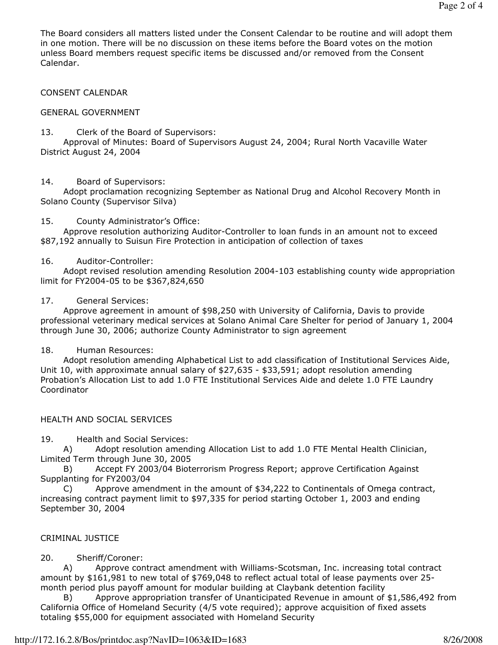The Board considers all matters listed under the Consent Calendar to be routine and will adopt them in one motion. There will be no discussion on these items before the Board votes on the motion unless Board members request specific items be discussed and/or removed from the Consent Calendar.

### CONSENT CALENDAR

### GENERAL GOVERNMENT

### 13. Clerk of the Board of Supervisors:

 Approval of Minutes: Board of Supervisors August 24, 2004; Rural North Vacaville Water District August 24, 2004

### 14. Board of Supervisors:

 Adopt proclamation recognizing September as National Drug and Alcohol Recovery Month in Solano County (Supervisor Silva)

### 15. County Administrator's Office:

 Approve resolution authorizing Auditor-Controller to loan funds in an amount not to exceed \$87,192 annually to Suisun Fire Protection in anticipation of collection of taxes

### 16. Auditor-Controller:

 Adopt revised resolution amending Resolution 2004-103 establishing county wide appropriation limit for FY2004-05 to be \$367,824,650

### 17. General Services:

 Approve agreement in amount of \$98,250 with University of California, Davis to provide professional veterinary medical services at Solano Animal Care Shelter for period of January 1, 2004 through June 30, 2006; authorize County Administrator to sign agreement

### 18. Human Resources:

 Adopt resolution amending Alphabetical List to add classification of Institutional Services Aide, Unit 10, with approximate annual salary of \$27,635 - \$33,591; adopt resolution amending Probation's Allocation List to add 1.0 FTE Institutional Services Aide and delete 1.0 FTE Laundry Coordinator

### HEALTH AND SOCIAL SERVICES

19. Health and Social Services:

 A) Adopt resolution amending Allocation List to add 1.0 FTE Mental Health Clinician, Limited Term through June 30, 2005

 B) Accept FY 2003/04 Bioterrorism Progress Report; approve Certification Against Supplanting for FY2003/04

 C) Approve amendment in the amount of \$34,222 to Continentals of Omega contract, increasing contract payment limit to \$97,335 for period starting October 1, 2003 and ending September 30, 2004

### CRIMINAL JUSTICE

### 20. Sheriff/Coroner:

 A) Approve contract amendment with Williams-Scotsman, Inc. increasing total contract amount by \$161,981 to new total of \$769,048 to reflect actual total of lease payments over 25 month period plus payoff amount for modular building at Claybank detention facility

 B) Approve appropriation transfer of Unanticipated Revenue in amount of \$1,586,492 from California Office of Homeland Security (4/5 vote required); approve acquisition of fixed assets totaling \$55,000 for equipment associated with Homeland Security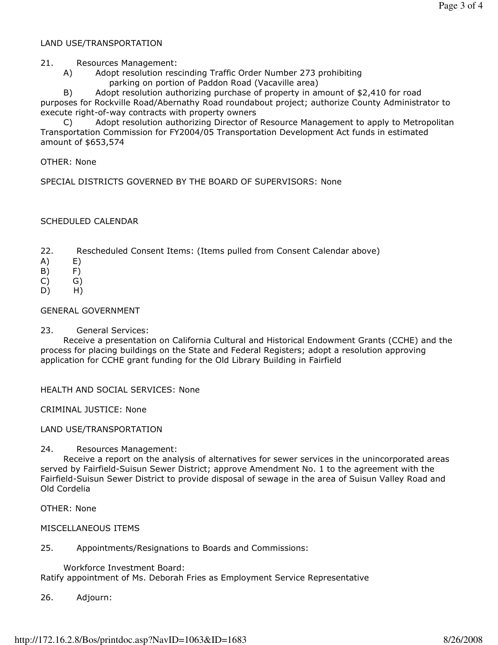## LAND USE/TRANSPORTATION

21. Resources Management:

 A) Adopt resolution rescinding Traffic Order Number 273 prohibiting parking on portion of Paddon Road (Vacaville area)

 B) Adopt resolution authorizing purchase of property in amount of \$2,410 for road purposes for Rockville Road/Abernathy Road roundabout project; authorize County Administrator to execute right-of-way contracts with property owners

 C) Adopt resolution authorizing Director of Resource Management to apply to Metropolitan Transportation Commission for FY2004/05 Transportation Development Act funds in estimated amount of \$653,574

OTHER: None

SPECIAL DISTRICTS GOVERNED BY THE BOARD OF SUPERVISORS: None

### SCHEDULED CALENDAR

- 22. Rescheduled Consent Items: (Items pulled from Consent Calendar above)
- $(A)$   $E)$
- B) F)
- C) G)
- D) H)

### GENERAL GOVERNMENT

23. General Services:

 Receive a presentation on California Cultural and Historical Endowment Grants (CCHE) and the process for placing buildings on the State and Federal Registers; adopt a resolution approving application for CCHE grant funding for the Old Library Building in Fairfield

HEALTH AND SOCIAL SERVICES: None

CRIMINAL JUSTICE: None

### LAND USE/TRANSPORTATION

24. Resources Management:

 Receive a report on the analysis of alternatives for sewer services in the unincorporated areas served by Fairfield-Suisun Sewer District; approve Amendment No. 1 to the agreement with the Fairfield-Suisun Sewer District to provide disposal of sewage in the area of Suisun Valley Road and Old Cordelia

OTHER: None

### MISCELLANEOUS ITEMS

25. Appointments/Resignations to Boards and Commissions:

 Workforce Investment Board: Ratify appointment of Ms. Deborah Fries as Employment Service Representative

26. Adjourn: